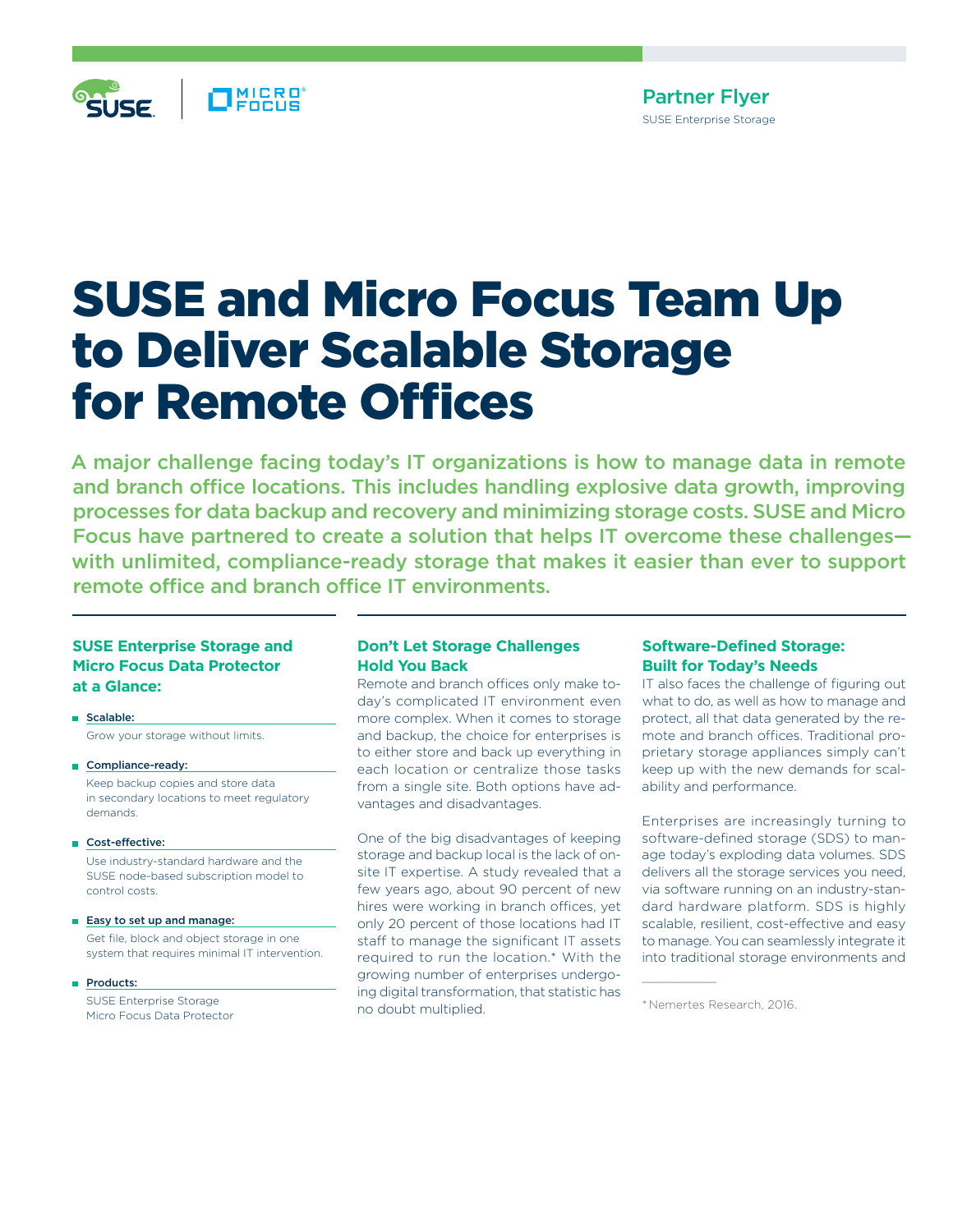

# SUSE and Micro Focus Team Up to Deliver Scalable Storage for Remote Offices

A major challenge facing today's IT organizations is how to manage data in remote and branch office locations. This includes handling explosive data growth, improving processes for data backup and recovery and minimizing storage costs. SUSE and Micro Focus have partnered to create a solution that helps IT overcome these challenges with unlimited, compliance-ready storage that makes it easier than ever to support remote office and branch office IT environments.

## **SUSE Enterprise Storage and Micro Focus Data Protector at a Glance:**

Scalable: Grow your storage without limits.

- Compliance-ready: Keep backup copies and store data in secondary locations to meet regulatory demands.
- Cost-effective:

Use industry-standard hardware and the SUSE node-based subscription model to control costs.

- Easy to set up and manage: Get file, block and object storage in one system that requires minimal IT intervention.
- Products:

SUSE Enterprise Storage Micro Focus Data Protector

### **Don't Let Storage Challenges Hold You Back**

Remote and branch offices only make today's complicated IT environment even more complex. When it comes to storage and backup, the choice for enterprises is to either store and back up everything in each location or centralize those tasks from a single site. Both options have advantages and disadvantages.

One of the big disadvantages of keeping storage and backup local is the lack of onsite IT expertise. A study revealed that a few years ago, about 90 percent of new hires were working in branch offices, yet only 20 percent of those locations had IT staff to manage the significant IT assets required to run the location.\* With the growing number of enterprises undergoing digital transformation, that statistic has no doubt multiplied.

#### **Software-Defined Storage: Built for Today's Needs**

IT also faces the challenge of figuring out what to do, as well as how to manage and protect, all that data generated by the remote and branch offices. Traditional proprietary storage appliances simply can't keep up with the new demands for scalability and performance.

Enterprises are increasingly turning to software-defined storage (SDS) to manage today's exploding data volumes. SDS delivers all the storage services you need, via software running on an industry-standard hardware platform. SDS is highly scalable, resilient, cost-effective and easy to manage. You can seamlessly integrate it into traditional storage environments and

<sup>\*</sup>Nemertes Research, 2016.